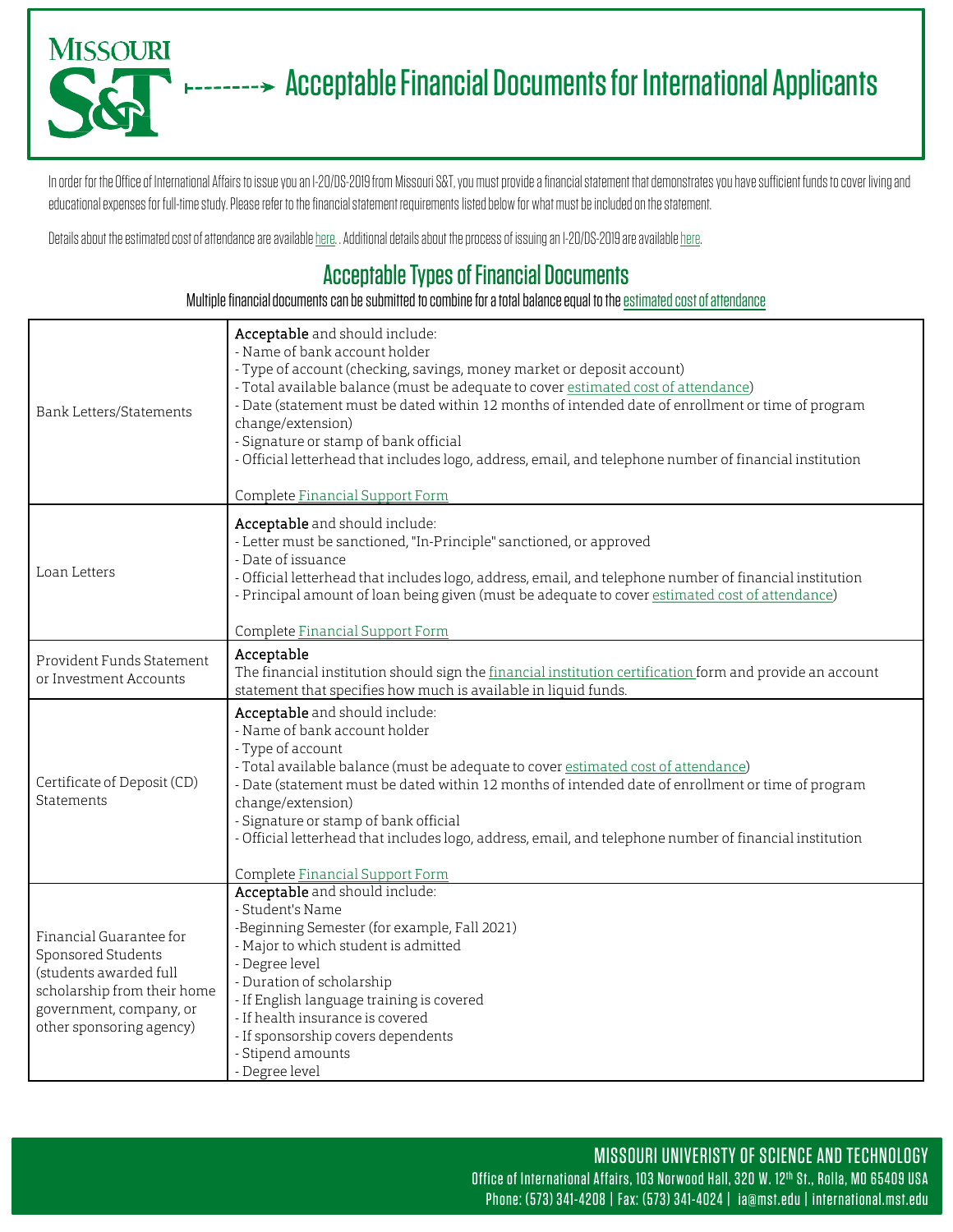

# -------> Acceptable Financial Documents for International Applicants

In order for the Office of International Affairs to issue you an I-20/DS-2019 from Missouri S&T, you must provide a financial statement that demonstrates you have sufficient funds to cover living and educational expenses for full-time study. Please refer to the financial statement requirements listed below for what must be included on the statement.

Details about the estimated cost of attendance are available [here](https://futurestudents.mst.edu/costs/#international). . Additional details about the process of issuing an I-20/DS-2019 are available [here](https://international.mst.edu/international-student-services/new-students/immigration-document-process/).

## Acceptable Types of Financial Documents

Multiple financial documents can be submitted to combine for a total balance equal to the [estimated cost of attendance](https://futurestudents.mst.edu/costs/#international)

| <b>Bank Letters/Statements</b>                                                                                                                                | Acceptable and should include:<br>- Name of bank account holder<br>- Type of account (checking, savings, money market or deposit account)<br>- Total available balance (must be adequate to cover estimated cost of attendance)<br>- Date (statement must be dated within 12 months of intended date of enrollment or time of program                                                                                                                                                               |
|---------------------------------------------------------------------------------------------------------------------------------------------------------------|-----------------------------------------------------------------------------------------------------------------------------------------------------------------------------------------------------------------------------------------------------------------------------------------------------------------------------------------------------------------------------------------------------------------------------------------------------------------------------------------------------|
|                                                                                                                                                               | change/extension)<br>- Signature or stamp of bank official<br>- Official letterhead that includes logo, address, email, and telephone number of financial institution                                                                                                                                                                                                                                                                                                                               |
|                                                                                                                                                               | Complete Financial Support Form                                                                                                                                                                                                                                                                                                                                                                                                                                                                     |
| Loan Letters                                                                                                                                                  | Acceptable and should include:<br>- Letter must be sanctioned, "In-Principle" sanctioned, or approved<br>- Date of issuance<br>- Official letterhead that includes logo, address, email, and telephone number of financial institution<br>- Principal amount of loan being given (must be adequate to cover estimated cost of attendance)                                                                                                                                                           |
|                                                                                                                                                               | Complete Financial Support Form                                                                                                                                                                                                                                                                                                                                                                                                                                                                     |
| Provident Funds Statement<br>or Investment Accounts                                                                                                           | Acceptable<br>The financial institution should sign the financial institution certification form and provide an account<br>statement that specifies how much is available in liquid funds.                                                                                                                                                                                                                                                                                                          |
| Certificate of Deposit (CD)<br>Statements                                                                                                                     | Acceptable and should include:<br>- Name of bank account holder<br>- Type of account<br>- Total available balance (must be adequate to cover estimated cost of attendance)<br>- Date (statement must be dated within 12 months of intended date of enrollment or time of program<br>change/extension)<br>- Signature or stamp of bank official<br>- Official letterhead that includes logo, address, email, and telephone number of financial institution<br>Complete <b>Financial Support Form</b> |
| Financial Guarantee for<br>Sponsored Students<br>(students awarded full<br>scholarship from their home<br>government, company, or<br>other sponsoring agency) | Acceptable and should include:<br>- Student's Name<br>-Beginning Semester (for example, Fall 2021)<br>- Major to which student is admitted<br>- Degree level<br>- Duration of scholarship<br>- If English language training is covered<br>- If health insurance is covered<br>- If sponsorship covers dependents                                                                                                                                                                                    |
|                                                                                                                                                               | - Stipend amounts<br>- Degree level                                                                                                                                                                                                                                                                                                                                                                                                                                                                 |